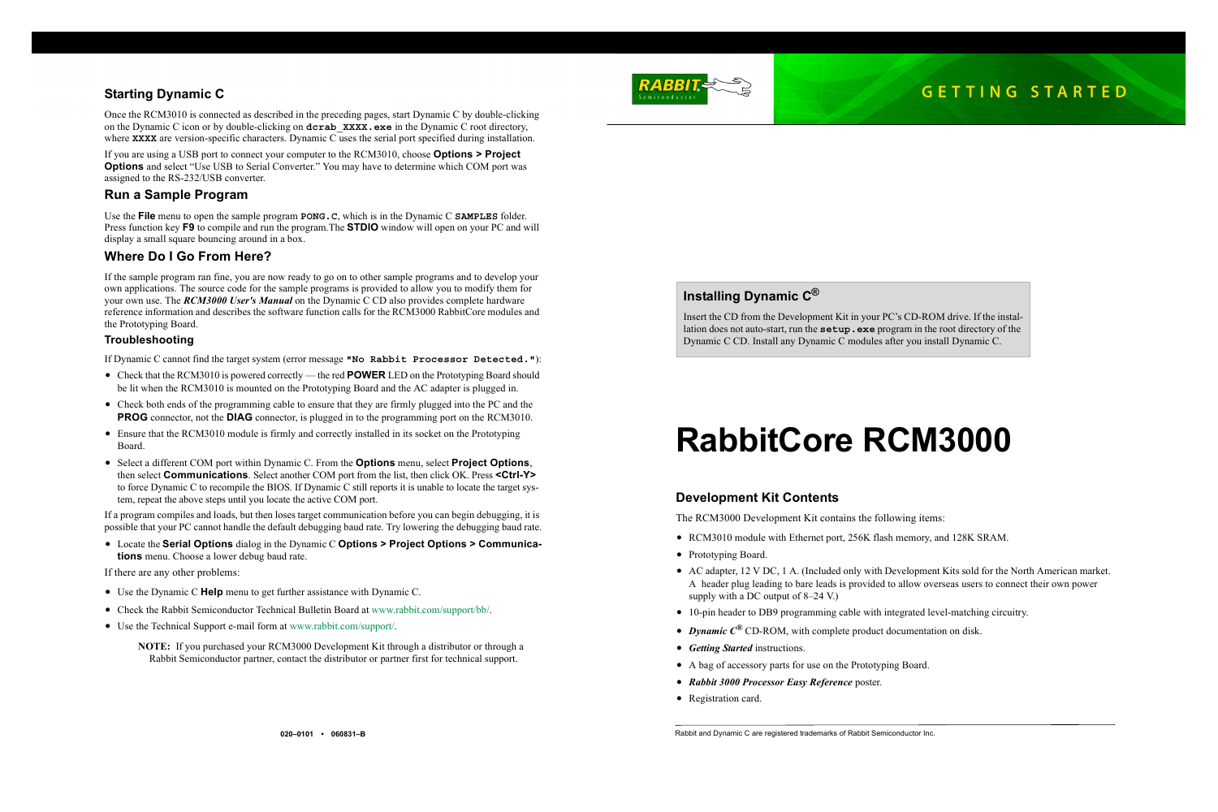# **RabbitCore RCM3000**

## **Development Kit Contents**

The RCM3000 Development Kit contains the following items:

**•** AC adapter, 12 V DC, 1 A. (Included only with Development Kits sold for the North American market. A header plug leading to bare leads is provided to allow overseas users to connect their own power

Once the RCM3010 is connected as described in the preceding pages, start Dynamic C by double-clicking on the Dynamic C icon or by double-clicking on **dcrab\_XXXX.exe** in the Dynamic C root directory, where **XXXX** are version-specific characters. Dynamic C uses the serial port specified during installation.

- **•** RCM3010 module with Ethernet port, 256K flash memory, and 128K SRAM.
- **•** Prototyping Board.
- supply with a DC output of 8–24 V.)
- **•** 10-pin header to DB9 programming cable with integrated level-matching circuitry.
- **•** *Dynamic C®* CD-ROM, with complete product documentation on disk.
- **•** *Getting Started* instructions.
- **•** A bag of accessory parts for use on the Prototyping Board.
- **•** *Rabbit 3000 Processor Easy Reference* poster.
- **•** Registration card.

## **Starting Dynamic C**

If you are using a USB port to connect your computer to the RCM3010, choose **Options > Project Options** and select "Use USB to Serial Converter." You may have to determine which COM port was assigned to the RS-232/USB converter.

## **Run a Sample Program**

Use the **File** menu to open the sample program **PONG.C**, which is in the Dynamic C **SAMPLES** folder. Press function key **F9** to compile and run the program.The **STDIO** window will open on your PC and will display a small square bouncing around in a box.

## **Where Do I Go From Here?**

If the sample program ran fine, you are now ready to go on to other sample programs and to develop your own applications. The source code for the sample programs is provided to allow you to modify them for your own use. The *RCM3000 User's Manual* on the Dynamic C CD also provides complete hardware reference information and describes the software function calls for the RCM3000 RabbitCore modules and the Prototyping Board.

## **Troubleshooting**

If Dynamic C cannot find the target system (error message **"No Rabbit Processor Detected."**):

- **•** Check that the RCM3010 is powered correctly the red **POWER** LED on the Prototyping Board should be lit when the RCM3010 is mounted on the Prototyping Board and the AC adapter is plugged in.
- Check both ends of the programming cable to ensure that they are firmly plugged into the PC and the **PROG** connector, not the **DIAG** connector, is plugged in to the programming port on the RCM3010.
- Ensure that the RCM3010 module is firmly and correctly installed in its socket on the Prototyping Board.
- **•** Select a different COM port within Dynamic C. From the **Options** menu, select **Project Options**, then select **Communications**. Select another COM port from the list, then click OK. Press **<Ctrl-Y>** to force Dynamic C to recompile the BIOS. If Dynamic C still reports it is unable to locate the target system, repeat the above steps until you locate the active COM port.

If a program compiles and loads, but then loses target communication before you can begin debugging, it is possible that your PC cannot handle the default debugging baud rate. Try lowering the debugging baud rate.

**•** Locate the **Serial Options** dialog in the Dynamic C **Options > Project Options > Communications** menu. Choose a lower debug baud rate.

If there are any other problems:

- **•** Use the Dynamic C **Help** menu to get further assistance with Dynamic C.
- **•** Check the Rabbit Semiconductor Technical Bulletin Board at www.rabbit.com/support/bb/.
- **•** Use the Technical Support e-mail form at [www.rabbit.com/support/](http://www.rabbit.com/support/questionSubmit.shtml).

**NOTE:** If you purchased your RCM3000 Development Kit through a distributor or through a Rabbit Semiconductor partner, contact the distributor or partner first for technical support.



# **Installing Dynamic C®**

Insert the CD from the Development Kit in your PC's CD-ROM drive. If the installation does not auto-start, run the **setup.exe** program in the root directory of the Dynamic C CD. Install any Dynamic C modules after you install Dynamic C.